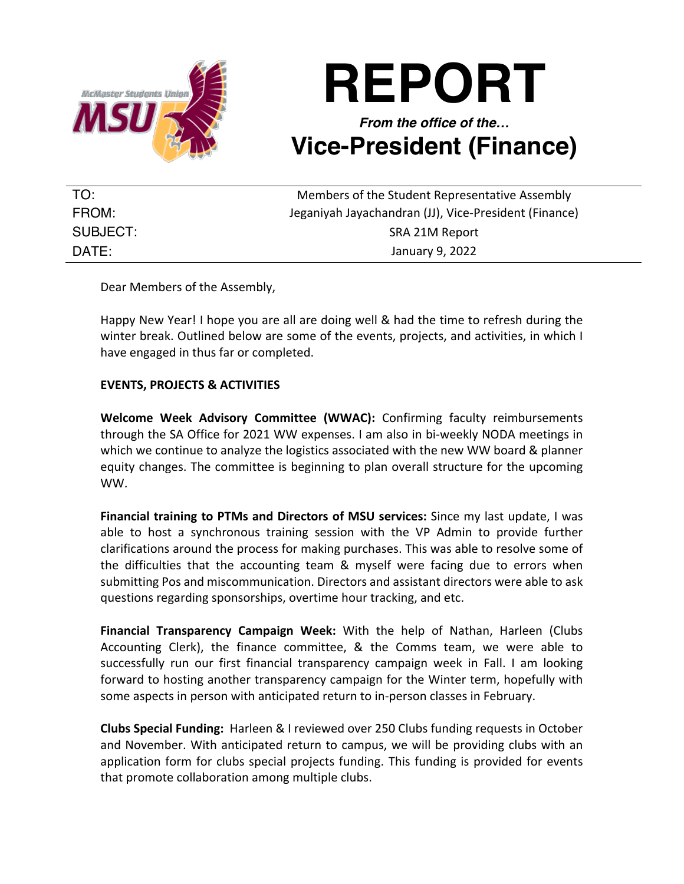

## **REPORT**

## *From the office of the…* **Vice-President (Finance)**

| TO:      | Members of the Student Representative Assembly        |
|----------|-------------------------------------------------------|
| FROM:    | Jeganiyah Jayachandran (JJ), Vice-President (Finance) |
| SUBJECT: | SRA 21M Report                                        |
| DATE:    | January 9, 2022                                       |

Dear Members of the Assembly,

Happy New Year! I hope you are all are doing well & had the time to refresh during the winter break. Outlined below are some of the events, projects, and activities, in which I have engaged in thus far or completed.

## **EVENTS, PROJECTS & ACTIVITIES**

**Welcome Week Advisory Committee (WWAC):** Confirming faculty reimbursements through the SA Office for 2021 WW expenses. I am also in bi-weekly NODA meetings in which we continue to analyze the logistics associated with the new WW board & planner equity changes. The committee is beginning to plan overall structure for the upcoming WW.

**Financial training to PTMs and Directors of MSU services:** Since my last update, I was able to host a synchronous training session with the VP Admin to provide further clarifications around the process for making purchases. This was able to resolve some of the difficulties that the accounting team & myself were facing due to errors when submitting Pos and miscommunication. Directors and assistant directors were able to ask questions regarding sponsorships, overtime hour tracking, and etc.

**Financial Transparency Campaign Week:** With the help of Nathan, Harleen (Clubs Accounting Clerk), the finance committee, & the Comms team, we were able to successfully run our first financial transparency campaign week in Fall. I am looking forward to hosting another transparency campaign for the Winter term, hopefully with some aspects in person with anticipated return to in-person classes in February.

**Clubs Special Funding:** Harleen & I reviewed over 250 Clubs funding requests in October and November. With anticipated return to campus, we will be providing clubs with an application form for clubs special projects funding. This funding is provided for events that promote collaboration among multiple clubs.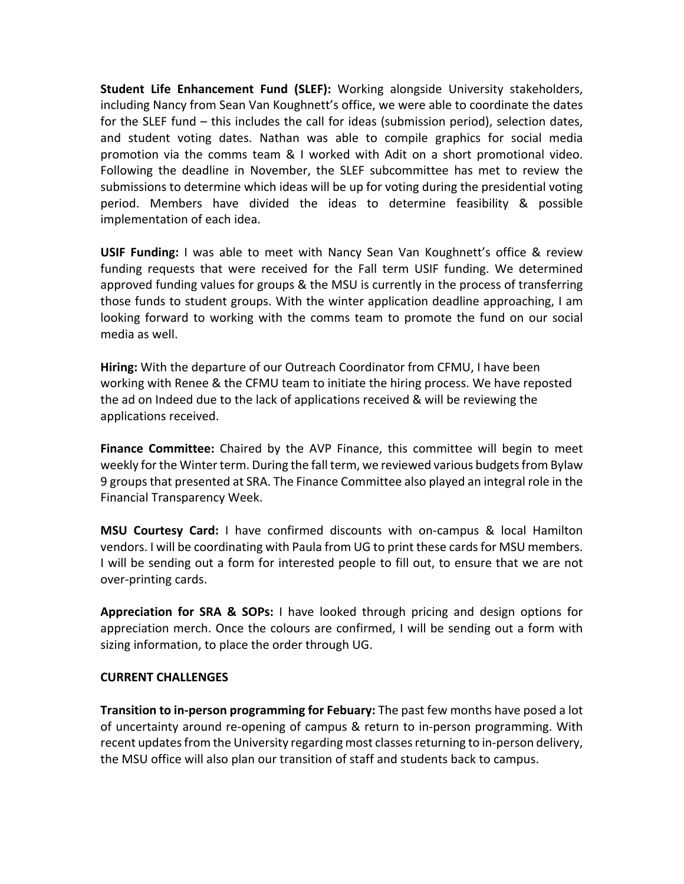**Student Life Enhancement Fund (SLEF):** Working alongside University stakeholders, including Nancy from Sean Van Koughnett's office, we were able to coordinate the dates for the SLEF fund – this includes the call for ideas (submission period), selection dates, and student voting dates. Nathan was able to compile graphics for social media promotion via the comms team & I worked with Adit on a short promotional video. Following the deadline in November, the SLEF subcommittee has met to review the submissions to determine which ideas will be up for voting during the presidential voting period. Members have divided the ideas to determine feasibility & possible implementation of each idea.

**USIF Funding:** I was able to meet with Nancy Sean Van Koughnett's office & review funding requests that were received for the Fall term USIF funding. We determined approved funding values for groups & the MSU is currently in the process of transferring those funds to student groups. With the winter application deadline approaching, I am looking forward to working with the comms team to promote the fund on our social media as well.

**Hiring:** With the departure of our Outreach Coordinator from CFMU, I have been working with Renee & the CFMU team to initiate the hiring process. We have reposted the ad on Indeed due to the lack of applications received & will be reviewing the applications received.

**Finance Committee:** Chaired by the AVP Finance, this committee will begin to meet weekly for the Winter term. During the fall term, we reviewed various budgets from Bylaw 9 groups that presented at SRA. The Finance Committee also played an integral role in the Financial Transparency Week.

**MSU Courtesy Card:** I have confirmed discounts with on-campus & local Hamilton vendors. I will be coordinating with Paula from UG to print these cards for MSU members. I will be sending out a form for interested people to fill out, to ensure that we are not over-printing cards.

**Appreciation for SRA & SOPs:** I have looked through pricing and design options for appreciation merch. Once the colours are confirmed, I will be sending out a form with sizing information, to place the order through UG.

## **CURRENT CHALLENGES**

**Transition to in-person programming for Febuary:** The past few months have posed a lot of uncertainty around re-opening of campus & return to in-person programming. With recent updates from the University regarding most classes returning to in-person delivery, the MSU office will also plan our transition of staff and students back to campus.